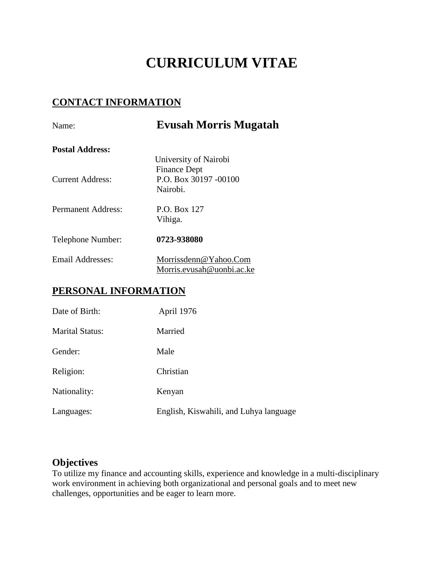# **CURRICULUM VITAE**

# **CONTACT INFORMATION**

| Name:                   | <b>Evusah Morris Mugatah</b>                                                      |
|-------------------------|-----------------------------------------------------------------------------------|
| <b>Postal Address:</b>  |                                                                                   |
| <b>Current Address:</b> | University of Nairobi<br><b>Finance Dept</b><br>P.O. Box 30197 -00100<br>Nairobi. |
| Permanent Address:      | P.O. Box 127<br>Vihiga.                                                           |
| Telephone Number:       | 0723-938080                                                                       |
| Email Addresses:        | Morrissdenn@Yahoo.Com                                                             |

# **PERSONAL INFORMATION**

| Date of Birth:         | April 1976                             |
|------------------------|----------------------------------------|
| <b>Marital Status:</b> | Married                                |
| Gender:                | Male                                   |
| Religion:              | Christian                              |
| Nationality:           | Kenyan                                 |
| Languages:             | English, Kiswahili, and Luhya language |

Morris.evusah@uonbi.ac.ke

# **Objectives**

To utilize my finance and accounting skills, experience and knowledge in a multi-disciplinary work environment in achieving both organizational and personal goals and to meet new challenges, opportunities and be eager to learn more.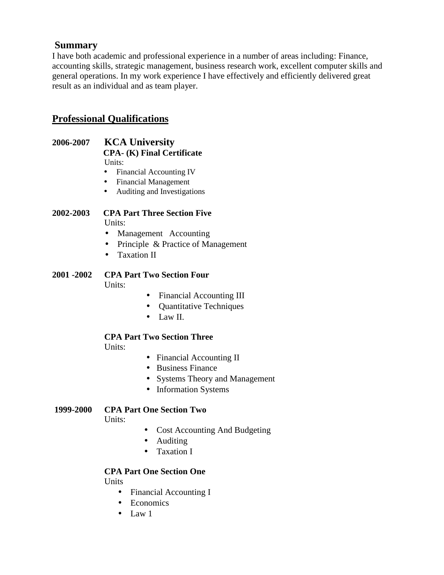# **Summary**

I have both academic and professional experience in a number of areas including: Finance, accounting skills, strategic management, business research work, excellent computer skills and general operations. In my work experience I have effectively and efficiently delivered great result as an individual and as team player.

# **Professional Qualifications**

- **2006-2007 KCA University CPA- (K) Final Certificate** Units:
	- Financial Accounting IV
	- Financial Management
	- Auditing and Investigations

#### **2002-2003 CPA Part Three Section Five** Units:

- Management Accounting
- Principle & Practice of Management
- Taxation II
- **2001 -2002 CPA Part Two Section Four** Units:
	- Financial Accounting III
	- Quantitative Techniques
	- $\bullet$  Law II.

# **CPA Part Two Section Three**

Units:

- Financial Accounting II
- Business Finance
- Systems Theory and Management
- Information Systems

## **1999-2000 CPA Part One Section Two**

Units:

- Cost Accounting And Budgeting
- Auditing
- Taxation I

#### **CPA Part One Section One**

**Units** 

- Financial Accounting I
- Economics
- $\bullet$  Law 1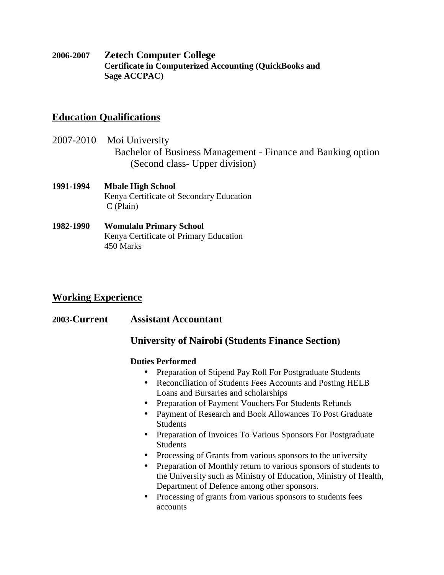**2006-2007 Zetech Computer College Certificate in Computerized Accounting (QuickBooks and Sage ACCPAC)**

# **Education Qualifications**

- 2007-2010 Moi University Bachelor of Business Management - Finance and Banking option (Second class- Upper division)
- **1991-1994 Mbale High School** Kenya Certificate of Secondary Education C (Plain)
- **1982-1990 Womulalu Primary School** Kenya Certificate of Primary Education 450 Marks

# **Working Experience**

**2003-Current Assistant Accountant**

# **University of Nairobi (Students Finance Section)**

### **Duties Performed**

- Preparation of Stipend Pay Roll For Postgraduate Students
- Reconciliation of Students Fees Accounts and Posting HELB Loans and Bursaries and scholarships
- Preparation of Payment Vouchers For Students Refunds
- Payment of Research and Book Allowances To Post Graduate Students
- Preparation of Invoices To Various Sponsors For Postgraduate **Students**
- Processing of Grants from various sponsors to the university
- Preparation of Monthly return to various sponsors of students to the University such as Ministry of Education, Ministry of Health, Department of Defence among other sponsors.
- Processing of grants from various sponsors to students fees accounts